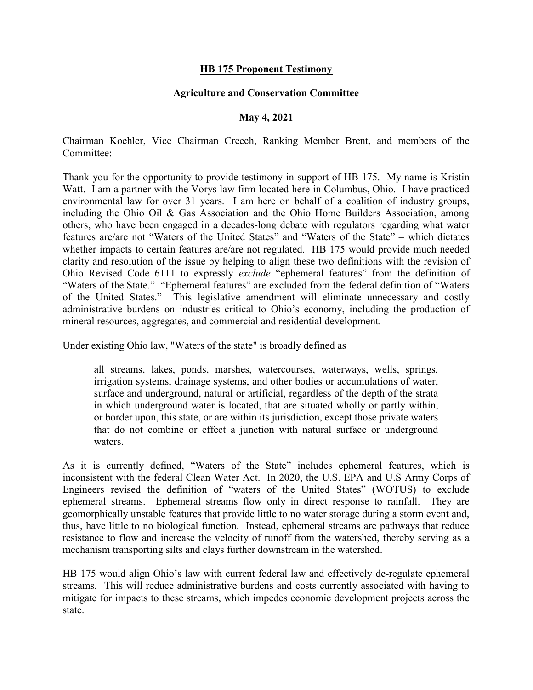## HB 175 Proponent Testimony

## Agriculture and Conservation Committee

## May 4, 2021

Chairman Koehler, Vice Chairman Creech, Ranking Member Brent, and members of the Committee:

Thank you for the opportunity to provide testimony in support of HB 175. My name is Kristin Watt. I am a partner with the Vorys law firm located here in Columbus, Ohio. I have practiced environmental law for over 31 years. I am here on behalf of a coalition of industry groups, including the Ohio Oil & Gas Association and the Ohio Home Builders Association, among others, who have been engaged in a decades-long debate with regulators regarding what water features are/are not "Waters of the United States" and "Waters of the State" – which dictates whether impacts to certain features are/are not regulated. HB 175 would provide much needed clarity and resolution of the issue by helping to align these two definitions with the revision of Ohio Revised Code 6111 to expressly exclude "ephemeral features" from the definition of "Waters of the State." "Ephemeral features" are excluded from the federal definition of "Waters of the United States." This legislative amendment will eliminate unnecessary and costly administrative burdens on industries critical to Ohio's economy, including the production of mineral resources, aggregates, and commercial and residential development.

Under existing Ohio law, "Waters of the state" is broadly defined as

all streams, lakes, ponds, marshes, watercourses, waterways, wells, springs, irrigation systems, drainage systems, and other bodies or accumulations of water, surface and underground, natural or artificial, regardless of the depth of the strata in which underground water is located, that are situated wholly or partly within, or border upon, this state, or are within its jurisdiction, except those private waters that do not combine or effect a junction with natural surface or underground waters.

As it is currently defined, "Waters of the State" includes ephemeral features, which is inconsistent with the federal Clean Water Act. In 2020, the U.S. EPA and U.S Army Corps of Engineers revised the definition of "waters of the United States" (WOTUS) to exclude ephemeral streams. Ephemeral streams flow only in direct response to rainfall. They are geomorphically unstable features that provide little to no water storage during a storm event and, thus, have little to no biological function. Instead, ephemeral streams are pathways that reduce resistance to flow and increase the velocity of runoff from the watershed, thereby serving as a mechanism transporting silts and clays further downstream in the watershed.

HB 175 would align Ohio's law with current federal law and effectively de-regulate ephemeral streams. This will reduce administrative burdens and costs currently associated with having to mitigate for impacts to these streams, which impedes economic development projects across the state.